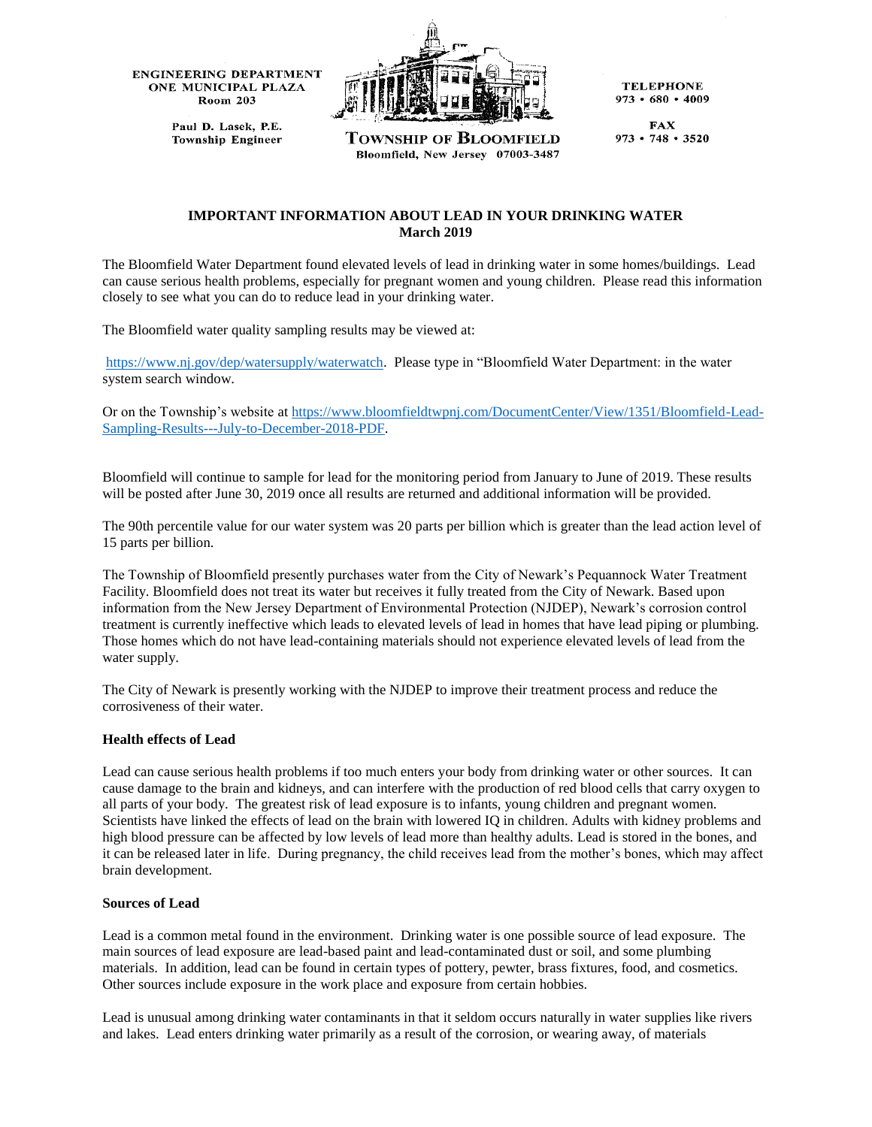**ENGINEERING DEPARTMENT** ONE MUNICIPAL PLAZA **Room 203** 

Paul D. Lasek, P.E.

**Township Engineer** 



**Township of Bloomfield** Bloomfield, New Jersey 07003-3487

**TELEPHONE**  $973 \cdot 680 \cdot 4009$ 

**FAX**  $973 \cdot 748 \cdot 3520$ 

# **IMPORTANT INFORMATION ABOUT LEAD IN YOUR DRINKING WATER March 2019**

The Bloomfield Water Department found elevated levels of lead in drinking water in some homes/buildings. Lead can cause serious health problems, especially for pregnant women and young children. Please read this information closely to see what you can do to reduce lead in your drinking water.

The Bloomfield water quality sampling results may be viewed at:

[https://www.nj.gov/dep/watersupply/waterwatch.](https://www.nj.gov/dep/watersupply/waterwatch) Please type in "Bloomfield Water Department: in the water system search window.

Or on the Township's website a[t https://www.bloomfieldtwpnj.com/DocumentCenter/View/1351/Bloomfield-Lead-](https://www.bloomfieldtwpnj.com/DocumentCenter/View/1351/Bloomfield-Lead-Sampling-Results---July-to-December-2018-PDF)[Sampling-Results---July-to-December-2018-PDF.](https://www.bloomfieldtwpnj.com/DocumentCenter/View/1351/Bloomfield-Lead-Sampling-Results---July-to-December-2018-PDF)

Bloomfield will continue to sample for lead for the monitoring period from January to June of 2019. These results will be posted after June 30, 2019 once all results are returned and additional information will be provided.

The 90th percentile value for our water system was 20 parts per billion which is greater than the lead action level of 15 parts per billion.

The Township of Bloomfield presently purchases water from the City of Newark's Pequannock Water Treatment Facility. Bloomfield does not treat its water but receives it fully treated from the City of Newark. Based upon information from the New Jersey Department of Environmental Protection (NJDEP), Newark's corrosion control treatment is currently ineffective which leads to elevated levels of lead in homes that have lead piping or plumbing. Those homes which do not have lead-containing materials should not experience elevated levels of lead from the water supply.

The City of Newark is presently working with the NJDEP to improve their treatment process and reduce the corrosiveness of their water.

### **Health effects of Lead**

Lead can cause serious health problems if too much enters your body from drinking water or other sources. It can cause damage to the brain and kidneys, and can interfere with the production of red blood cells that carry oxygen to all parts of your body. The greatest risk of lead exposure is to infants, young children and pregnant women. Scientists have linked the effects of lead on the brain with lowered IQ in children. Adults with kidney problems and high blood pressure can be affected by low levels of lead more than healthy adults. Lead is stored in the bones, and it can be released later in life. During pregnancy, the child receives lead from the mother's bones, which may affect brain development.

### **Sources of Lead**

Lead is a common metal found in the environment. Drinking water is one possible source of lead exposure. The main sources of lead exposure are lead-based paint and lead-contaminated dust or soil, and some plumbing materials. In addition, lead can be found in certain types of pottery, pewter, brass fixtures, food, and cosmetics. Other sources include exposure in the work place and exposure from certain hobbies.

Lead is unusual among drinking water contaminants in that it seldom occurs naturally in water supplies like rivers and lakes. Lead enters drinking water primarily as a result of the corrosion, or wearing away, of materials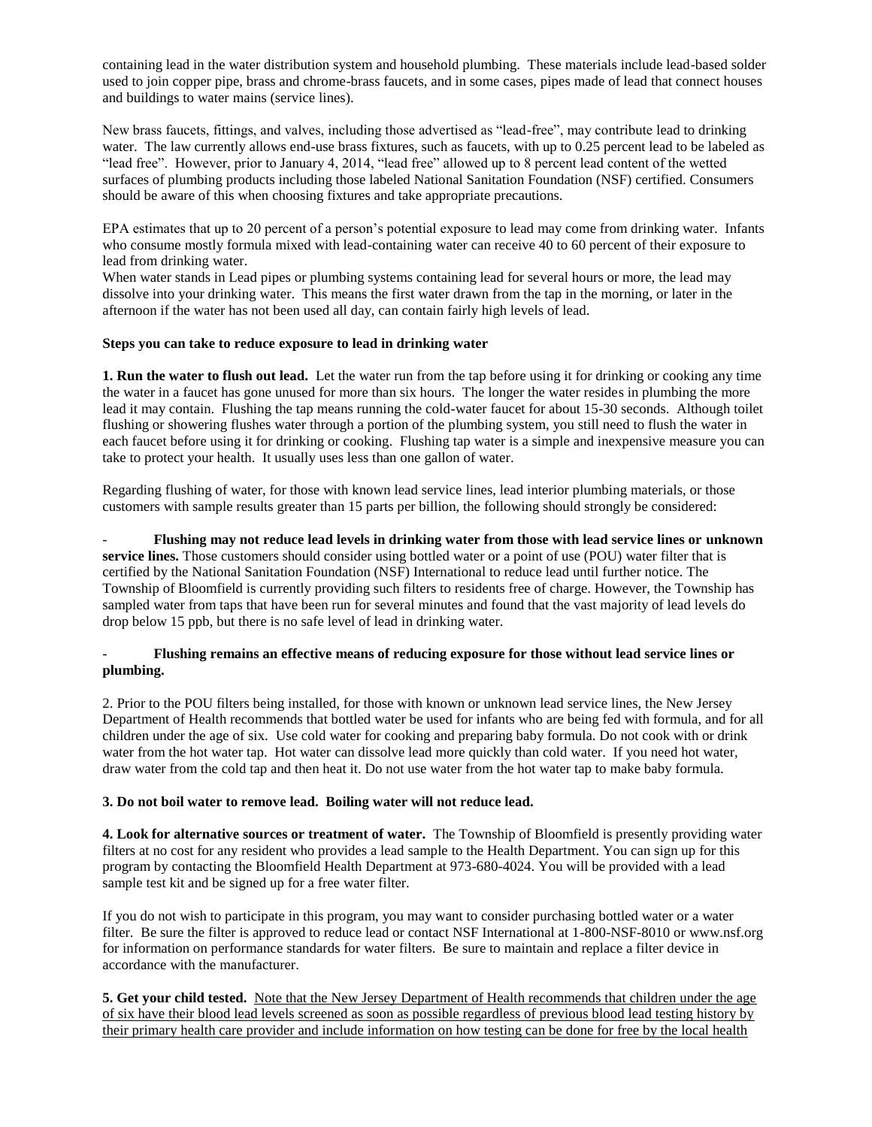containing lead in the water distribution system and household plumbing. These materials include lead-based solder used to join copper pipe, brass and chrome-brass faucets, and in some cases, pipes made of lead that connect houses and buildings to water mains (service lines).

New brass faucets, fittings, and valves, including those advertised as "lead-free", may contribute lead to drinking water. The law currently allows end-use brass fixtures, such as faucets, with up to 0.25 percent lead to be labeled as "lead free". However, prior to January 4, 2014, "lead free" allowed up to 8 percent lead content of the wetted surfaces of plumbing products including those labeled National Sanitation Foundation (NSF) certified. Consumers should be aware of this when choosing fixtures and take appropriate precautions.

EPA estimates that up to 20 percent of a person's potential exposure to lead may come from drinking water. Infants who consume mostly formula mixed with lead-containing water can receive 40 to 60 percent of their exposure to lead from drinking water.

When water stands in Lead pipes or plumbing systems containing lead for several hours or more, the lead may dissolve into your drinking water. This means the first water drawn from the tap in the morning, or later in the afternoon if the water has not been used all day, can contain fairly high levels of lead.

### **Steps you can take to reduce exposure to lead in drinking water**

**1. Run the water to flush out lead.** Let the water run from the tap before using it for drinking or cooking any time the water in a faucet has gone unused for more than six hours. The longer the water resides in plumbing the more lead it may contain. Flushing the tap means running the cold-water faucet for about 15-30 seconds. Although toilet flushing or showering flushes water through a portion of the plumbing system, you still need to flush the water in each faucet before using it for drinking or cooking. Flushing tap water is a simple and inexpensive measure you can take to protect your health. It usually uses less than one gallon of water.

Regarding flushing of water, for those with known lead service lines, lead interior plumbing materials, or those customers with sample results greater than 15 parts per billion, the following should strongly be considered:

- **Flushing may not reduce lead levels in drinking water from those with lead service lines or unknown service lines.** Those customers should consider using bottled water or a point of use (POU) water filter that is certified by the National Sanitation Foundation (NSF) International to reduce lead until further notice. The Township of Bloomfield is currently providing such filters to residents free of charge. However, the Township has sampled water from taps that have been run for several minutes and found that the vast majority of lead levels do drop below 15 ppb, but there is no safe level of lead in drinking water.

# - **Flushing remains an effective means of reducing exposure for those without lead service lines or plumbing.**

2. Prior to the POU filters being installed, for those with known or unknown lead service lines, the New Jersey Department of Health recommends that bottled water be used for infants who are being fed with formula, and for all children under the age of six. Use cold water for cooking and preparing baby formula. Do not cook with or drink water from the hot water tap. Hot water can dissolve lead more quickly than cold water. If you need hot water, draw water from the cold tap and then heat it. Do not use water from the hot water tap to make baby formula.

# **3. Do not boil water to remove lead. Boiling water will not reduce lead.**

**4. Look for alternative sources or treatment of water.** The Township of Bloomfield is presently providing water filters at no cost for any resident who provides a lead sample to the Health Department. You can sign up for this program by contacting the Bloomfield Health Department at 973-680-4024. You will be provided with a lead sample test kit and be signed up for a free water filter.

If you do not wish to participate in this program, you may want to consider purchasing bottled water or a water filter. Be sure the filter is approved to reduce lead or contact NSF International at 1-800-NSF-8010 or www.nsf.org for information on performance standards for water filters. Be sure to maintain and replace a filter device in accordance with the manufacturer.

**5. Get your child tested.** Note that the New Jersey Department of Health recommends that children under the age of six have their blood lead levels screened as soon as possible regardless of previous blood lead testing history by their primary health care provider and include information on how testing can be done for free by the local health